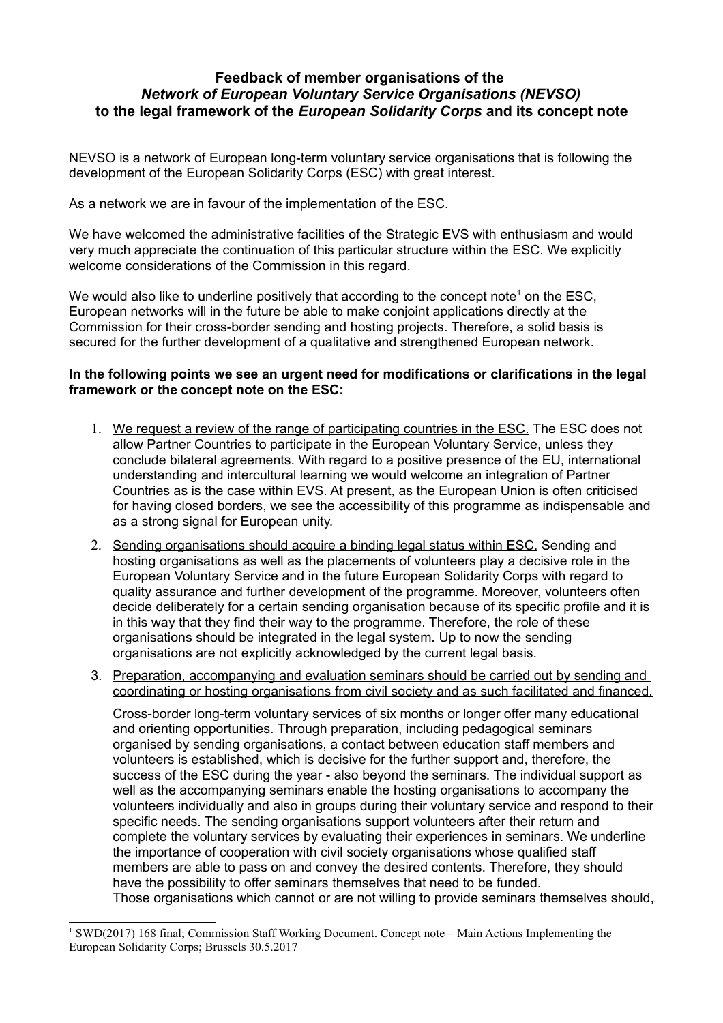## **Feedback of member organisations of the**  *Network of European Voluntary Service Organisations (NEVSO)* **to the legal framework of the** *European Solidarity Corps* **and its concept note**

NEVSO is a network of European long-term voluntary service organisations that is following the development of the European Solidarity Corps (ESC) with great interest.

As a network we are in favour of the implementation of the ESC.

We have welcomed the administrative facilities of the Strategic EVS with enthusiasm and would very much appreciate the continuation of this particular structure within the ESC. We explicitly welcome considerations of the Commission in this regard.

We would also like to underline positively that according to the concept note<sup>[1](#page-0-0)</sup> on the ESC, European networks will in the future be able to make conjoint applications directly at the Commission for their cross-border sending and hosting projects. Therefore, a solid basis is secured for the further development of a qualitative and strengthened European network.

## **In the following points we see an urgent need for modifications or clarifications in the legal framework or the concept note on the ESC:**

- 1. We request a review of the range of participating countries in the ESC. The ESC does not allow Partner Countries to participate in the European Voluntary Service, unless they conclude bilateral agreements. With regard to a positive presence of the EU, international understanding and intercultural learning we would welcome an integration of Partner Countries as is the case within EVS. At present, as the European Union is often criticised for having closed borders, we see the accessibility of this programme as indispensable and as a strong signal for European unity.
- 2. Sending organisations should acquire a binding legal status within ESC. Sending and hosting organisations as well as the placements of volunteers play a decisive role in the European Voluntary Service and in the future European Solidarity Corps with regard to quality assurance and further development of the programme. Moreover, volunteers often decide deliberately for a certain sending organisation because of its specific profile and it is in this way that they find their way to the programme. Therefore, the role of these organisations should be integrated in the legal system. Up to now the sending organisations are not explicitly acknowledged by the current legal basis.
- 3. Preparation, accompanying and evaluation seminars should be carried out by sending and coordinating or hosting organisations from civil society and as such facilitated and financed.

Cross-border long-term voluntary services of six months or longer offer many educational and orienting opportunities. Through preparation, including pedagogical seminars organised by sending organisations, a contact between education staff members and volunteers is established, which is decisive for the further support and, therefore, the success of the ESC during the year - also beyond the seminars. The individual support as well as the accompanying seminars enable the hosting organisations to accompany the volunteers individually and also in groups during their voluntary service and respond to their specific needs. The sending organisations support volunteers after their return and complete the voluntary services by evaluating their experiences in seminars. We underline the importance of cooperation with civil society organisations whose qualified staff members are able to pass on and convey the desired contents. Therefore, they should have the possibility to offer seminars themselves that need to be funded. Those organisations which cannot or are not willing to provide seminars themselves should,

<span id="page-0-0"></span><sup>&</sup>lt;sup>1</sup> SWD(2017) 168 final; Commission Staff Working Document. Concept note – Main Actions Implementing the European Solidarity Corps; Brussels 30.5.2017